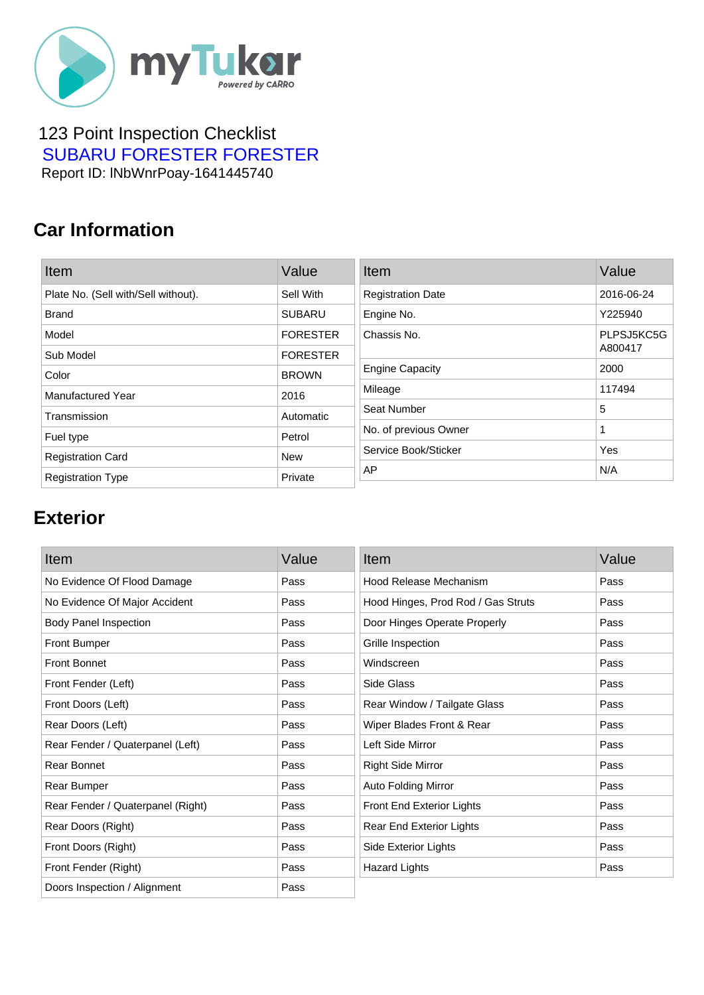

#### 123 Point Inspection Checklist  [SUBARU FORESTER FORESTER](https://mytukar.com/q/D2XX9N) Report ID: lNbWnrPoay-1641445740

### **Car Information**

| Item                                | Value           | Item                     | Value      |
|-------------------------------------|-----------------|--------------------------|------------|
| Plate No. (Sell with/Sell without). | Sell With       | <b>Registration Date</b> | 2016-06-24 |
| <b>Brand</b>                        | <b>SUBARU</b>   | Engine No.               | Y225940    |
| Model                               | <b>FORESTER</b> | Chassis No.              | PLPSJ5KC5G |
| Sub Model                           | <b>FORESTER</b> |                          | A800417    |
| Color                               | <b>BROWN</b>    | <b>Engine Capacity</b>   | 2000       |
| <b>Manufactured Year</b>            | 2016            | Mileage                  | 117494     |
| Transmission                        | Automatic       | Seat Number              | 5          |
| Fuel type                           | Petrol          | No. of previous Owner    | 1          |
| <b>Registration Card</b>            | <b>New</b>      | Service Book/Sticker     | Yes        |
| <b>Registration Type</b>            | Private         | AP                       | N/A        |

## **Exterior**

| Item                              | Value | Item                               | Value |
|-----------------------------------|-------|------------------------------------|-------|
| No Evidence Of Flood Damage       | Pass  | Hood Release Mechanism             | Pass  |
| No Evidence Of Major Accident     | Pass  | Hood Hinges, Prod Rod / Gas Struts | Pass  |
| <b>Body Panel Inspection</b>      | Pass  | Door Hinges Operate Properly       | Pass  |
| <b>Front Bumper</b>               | Pass  | Grille Inspection                  | Pass  |
| <b>Front Bonnet</b>               | Pass  | Windscreen                         | Pass  |
| Front Fender (Left)               | Pass  | Side Glass                         | Pass  |
| Front Doors (Left)                | Pass  | Rear Window / Tailgate Glass       | Pass  |
| Rear Doors (Left)                 | Pass  | Wiper Blades Front & Rear          | Pass  |
| Rear Fender / Quaterpanel (Left)  | Pass  | Left Side Mirror                   | Pass  |
| Rear Bonnet                       | Pass  | <b>Right Side Mirror</b>           | Pass  |
| Rear Bumper                       | Pass  | Auto Folding Mirror                | Pass  |
| Rear Fender / Quaterpanel (Right) | Pass  | Front End Exterior Lights          | Pass  |
| Rear Doors (Right)                | Pass  | Rear End Exterior Lights           | Pass  |
| Front Doors (Right)               | Pass  | Side Exterior Lights               | Pass  |
| Front Fender (Right)              | Pass  | <b>Hazard Lights</b>               | Pass  |
| Doors Inspection / Alignment      | Pass  |                                    |       |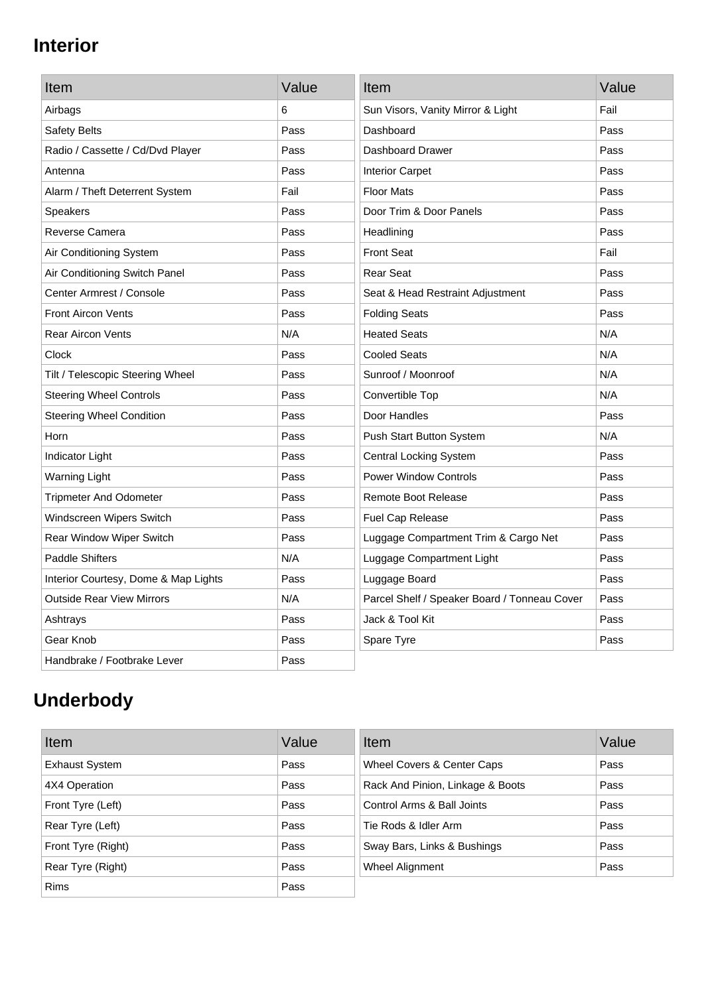## **Interior**

| Item                                 | Value | Item                                         | Value |
|--------------------------------------|-------|----------------------------------------------|-------|
| Airbags                              | 6     | Sun Visors, Vanity Mirror & Light            | Fail  |
| Safety Belts                         | Pass  | Dashboard                                    | Pass  |
| Radio / Cassette / Cd/Dvd Player     | Pass  | Dashboard Drawer                             | Pass  |
| Antenna                              | Pass  | <b>Interior Carpet</b>                       | Pass  |
| Alarm / Theft Deterrent System       | Fail  | <b>Floor Mats</b>                            | Pass  |
| <b>Speakers</b>                      | Pass  | Door Trim & Door Panels                      | Pass  |
| Reverse Camera                       | Pass  | Headlining                                   | Pass  |
| Air Conditioning System              | Pass  | <b>Front Seat</b>                            | Fail  |
| Air Conditioning Switch Panel        | Pass  | <b>Rear Seat</b>                             | Pass  |
| Center Armrest / Console             | Pass  | Seat & Head Restraint Adjustment             | Pass  |
| <b>Front Aircon Vents</b>            | Pass  | <b>Folding Seats</b>                         | Pass  |
| <b>Rear Aircon Vents</b>             | N/A   | <b>Heated Seats</b>                          | N/A   |
| Clock                                | Pass  | <b>Cooled Seats</b>                          | N/A   |
| Tilt / Telescopic Steering Wheel     | Pass  | Sunroof / Moonroof                           | N/A   |
| <b>Steering Wheel Controls</b>       | Pass  | Convertible Top                              | N/A   |
| <b>Steering Wheel Condition</b>      | Pass  | Door Handles                                 | Pass  |
| Horn                                 | Pass  | Push Start Button System                     | N/A   |
| Indicator Light                      | Pass  | <b>Central Locking System</b>                | Pass  |
| <b>Warning Light</b>                 | Pass  | <b>Power Window Controls</b>                 | Pass  |
| <b>Tripmeter And Odometer</b>        | Pass  | <b>Remote Boot Release</b>                   | Pass  |
| Windscreen Wipers Switch             | Pass  | Fuel Cap Release                             | Pass  |
| Rear Window Wiper Switch             | Pass  | Luggage Compartment Trim & Cargo Net         | Pass  |
| <b>Paddle Shifters</b>               | N/A   | Luggage Compartment Light                    | Pass  |
| Interior Courtesy, Dome & Map Lights | Pass  | Luggage Board                                | Pass  |
| <b>Outside Rear View Mirrors</b>     | N/A   | Parcel Shelf / Speaker Board / Tonneau Cover | Pass  |
| Ashtrays                             | Pass  | Jack & Tool Kit                              | Pass  |
| Gear Knob                            | Pass  | Spare Tyre                                   | Pass  |
| Handbrake / Footbrake Lever          | Pass  |                                              |       |

# **Underbody**

| Item                  | Value | Item                             | Value |
|-----------------------|-------|----------------------------------|-------|
| <b>Exhaust System</b> | Pass  | Wheel Covers & Center Caps       | Pass  |
| 4X4 Operation         | Pass  | Rack And Pinion, Linkage & Boots | Pass  |
| Front Tyre (Left)     | Pass  | Control Arms & Ball Joints       | Pass  |
| Rear Tyre (Left)      | Pass  | Tie Rods & Idler Arm             | Pass  |
| Front Tyre (Right)    | Pass  | Sway Bars, Links & Bushings      | Pass  |
| Rear Tyre (Right)     | Pass  | Wheel Alignment                  | Pass  |
| <b>Rims</b>           | Pass  |                                  |       |